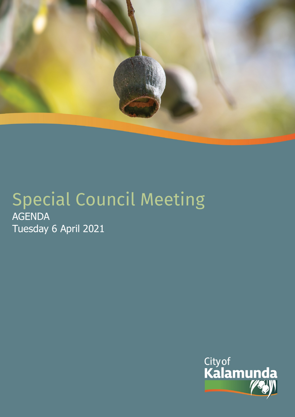

# Special Council Meeting AGENDA Tuesday 6 April 2021

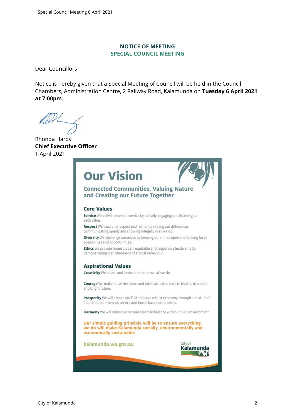#### **NOTICE OF MEETING SPECIAL COUNCIL MEETING**

Dear Councillors

Notice is hereby given that a Special Meeting of Council will be held in the Council Chambers, Administration Centre, 2 Railway Road, Kalamunda on **Tuesday 6 April 2021 at 7:00pm**.

Rhonda Hardy **Chief Executive Officer** 1 April 2021

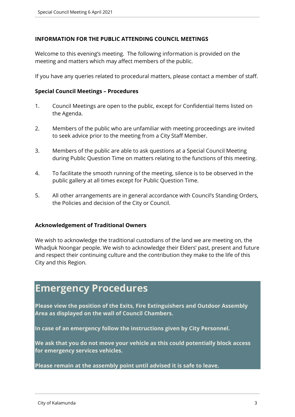#### **INFORMATION FOR THE PUBLIC ATTENDING COUNCIL MEETINGS**

Welcome to this evening's meeting. The following information is provided on the meeting and matters which may affect members of the public.

If you have any queries related to procedural matters, please contact a member of staff.

#### **Special Council Meetings – Procedures**

- 1. Council Meetings are open to the public, except for Confidential Items listed on the Agenda.
- 2. Members of the public who are unfamiliar with meeting proceedings are invited to seek advice prior to the meeting from a City Staff Member.
- 3. Members of the public are able to ask questions at a Special Council Meeting during Public Question Time on matters relating to the functions of this meeting.
- 4. To facilitate the smooth running of the meeting, silence is to be observed in the public gallery at all times except for Public Question Time.
- 5. All other arrangements are in general accordance with Council's Standing Orders, the Policies and decision of the City or Council.

#### **Acknowledgement of Traditional Owners**

We wish to acknowledge the traditional custodians of the land we are meeting on, the Whadjuk Noongar people. We wish to acknowledge their Elders' past, present and future and respect their continuing culture and the contribution they make to the life of this City and this Region.

# **Emergency Procedures**

**Please view the position of the Exits, Fire Extinguishers and Outdoor Assembly Area as displayed on the wall of Council Chambers.**

**In case of an emergency follow the instructions given by City Personnel.** 

**We ask that you do not move your vehicle as this could potentially block access for emergency services vehicles.** 

**Please remain at the assembly point until advised it is safe to leave.**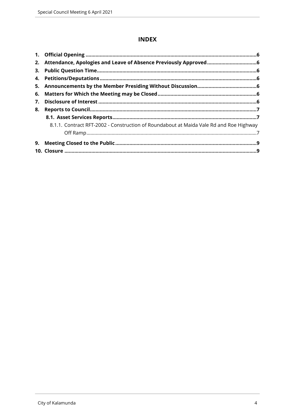### **INDEX**

| 3. |                                                                                        |  |
|----|----------------------------------------------------------------------------------------|--|
|    |                                                                                        |  |
|    |                                                                                        |  |
|    |                                                                                        |  |
| 7. |                                                                                        |  |
| 8. |                                                                                        |  |
|    |                                                                                        |  |
|    | 8.1.1. Contract RFT-2002 - Construction of Roundabout at Maida Vale Rd and Roe Highway |  |
|    |                                                                                        |  |
| 9. |                                                                                        |  |
|    |                                                                                        |  |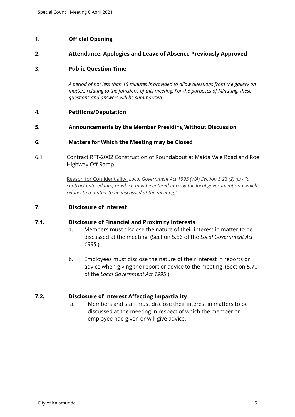#### <span id="page-4-0"></span>**1. Official Opening**

#### <span id="page-4-1"></span>**2. Attendance, Apologies and Leave of Absence Previously Approved**

#### <span id="page-4-2"></span>**3. Public Question Time**

*A period of not less than 15 minutes is provided to allow questions from the gallery on matters relating to the functions of this meeting. For the purposes of Minuting, these questions and answers will be summarised.*

#### <span id="page-4-3"></span>**4. Petitions/Deputation**

<span id="page-4-4"></span>**5. Announcements by the Member Presiding Without Discussion**

#### <span id="page-4-5"></span>**6. Matters for Which the Meeting may be Closed**

6.1 Contract RFT-2002 Construction of Roundabout at Maida Vale Road and Roe Highway Off Ramp

> Reason for Confidentiality: *Local Government Act 1995 (WA) Section 5.23 (2) (c) - "a contract entered into, or which may be entered into, by the local government and which relates to a matter to be discussed at the meeting."*

#### <span id="page-4-6"></span>**7. Disclosure of Interest**

#### **7.1. Disclosure of Financial and Proximity Interests**

- a. Members must disclose the nature of their interest in matter to be discussed at the meeting. (Section 5.56 of the *Local Government Act 1995*.)
- b. Employees must disclose the nature of their interest in reports or advice when giving the report or advice to the meeting. (Section 5.70 of the *Local Government Act 1995*.)

#### **7.2. Disclosure of Interest Affecting Impartiality**

a. Members and staff must disclose their interest in matters to be discussed at the meeting in respect of which the member or employee had given or will give advice.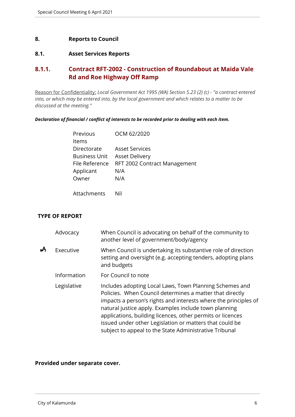#### <span id="page-5-0"></span>**8. Reports to Council**

#### <span id="page-5-1"></span>**8.1. Asset Services Reports**

## <span id="page-5-2"></span>**8.1.1. Contract RFT-2002 - Construction of Roundabout at Maida Vale Rd and Roe Highway Off Ramp**

Reason for Confidentiality: *Local Government Act 1995 (WA) Section 5.23 (2) (c) - "a contract entered into, or which may be entered into, by the local government and which relates to a matter to be discussed at the meeting."*

*Declaration of financial / conflict of interests to be recorded prior to dealing with each item.*

| Previous             | OCM 62/2020                  |
|----------------------|------------------------------|
| Items                |                              |
| Directorate          | <b>Asset Services</b>        |
| <b>Business Unit</b> | <b>Asset Delivery</b>        |
| File Reference       | RFT 2002 Contract Management |
| Applicant            | N/A                          |
| Owner                | N/A                          |
|                      |                              |

Attachments Nil

#### **TYPE OF REPORT**

|   | Advocacy    | When Council is advocating on behalf of the community to<br>another level of government/body/agency                                                                                                                                                                                                                                                                                                                                |
|---|-------------|------------------------------------------------------------------------------------------------------------------------------------------------------------------------------------------------------------------------------------------------------------------------------------------------------------------------------------------------------------------------------------------------------------------------------------|
| Å | Executive   | When Council is undertaking its substantive role of direction<br>setting and oversight (e.g. accepting tenders, adopting plans<br>and budgets                                                                                                                                                                                                                                                                                      |
|   | Information | For Council to note                                                                                                                                                                                                                                                                                                                                                                                                                |
|   | Legislative | Includes adopting Local Laws, Town Planning Schemes and<br>Policies. When Council determines a matter that directly<br>impacts a person's rights and interests where the principles of<br>natural justice apply. Examples include town planning<br>applications, building licences, other permits or licences<br>issued under other Legislation or matters that could be<br>subject to appeal to the State Administrative Tribunal |

#### **Provided under separate cover.**